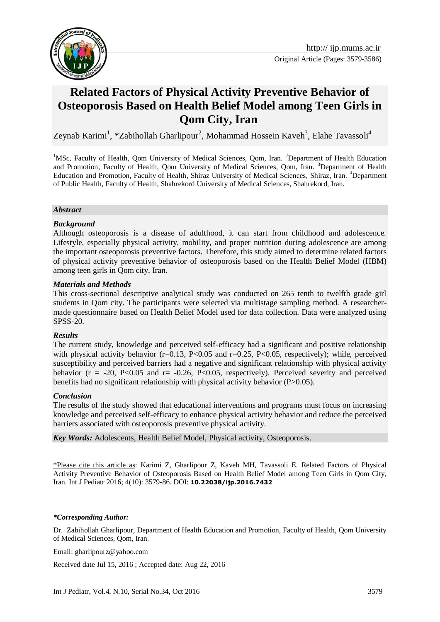

# **Related Factors of Physical Activity Preventive Behavior of Osteoporosis Based on Health Belief Model among Teen Girls in Qom City, Iran**

Zeynab Karimi<sup>1</sup>, \*Zabihollah Gharlipour<sup>2</sup>, Mohammad Hossein Kaveh<sup>3</sup>, Elahe Tavassoli<sup>4</sup>

<sup>1</sup>MSc, Faculty of Health, Qom University of Medical Sciences, Qom, Iran. <sup>2</sup>Department of Health Education and Promotion, Faculty of Health, Qom University of Medical Sciences, Qom, Iran. <sup>3</sup>Department of Health Education and Promotion, Faculty of Health, Shiraz University of Medical Sciences, Shiraz, Iran. <sup>4</sup>Department of Public Health, Faculty of Health, Shahrekord University of Medical Sciences, Shahrekord, Iran.

#### *Abstract*

#### *Background*

Although osteoporosis is a disease of adulthood, it can start from childhood and adolescence. Lifestyle, especially physical activity, mobility, and proper nutrition during adolescence are among the important osteoporosis preventive factors. Therefore, this study aimed to determine related factors of physical activity preventive behavior of osteoporosis based on the Health Belief Model (HBM) among teen girls in Qom city, Iran.

#### *Materials and Methods*

This cross-sectional descriptive analytical study was conducted on 265 tenth to twelfth grade girl students in Qom city. The participants were selected via multistage sampling method. A researchermade questionnaire based on Health Belief Model used for data collection. Data were analyzed using SPSS-20.

#### *Results*

The current study, knowledge and perceived self-efficacy had a significant and positive relationship with physical activity behavior ( $r=0.13$ , P<0.05 and  $r=0.25$ , P<0.05, respectively); while, perceived susceptibility and perceived barriers had a negative and significant relationship with physical activity behavior ( $r = -20$ , P<0.05 and  $r = -0.26$ , P<0.05, respectively). Perceived severity and perceived benefits had no significant relationship with physical activity behavior (P>0.05).

#### *Conclusion*

The results of the study showed that educational interventions and programs must focus on increasing knowledge and perceived self-efficacy to enhance physical activity behavior and reduce the perceived barriers associated with osteoporosis preventive physical activity.

*Key Words:* Adolescents, Health Belief Model, Physical activity, Osteoporosis.

\*Please cite this article as: Karimi Z, Gharlipour Z, Kaveh MH, Tavassoli E. Related Factors of Physical Activity Preventive Behavior of Osteoporosis Based on Health Belief Model among Teen Girls in Qom City, Iran. Int J Pediatr 2016; 4(10): 3579-86. DOI: **10.22038/ijp.2016.7432**

*\*Corresponding Author:*

<u>.</u>

Email: gharlipourz@yahoo.com

Received date Jul 15, 2016 ; Accepted date: Aug 22, 2016

Dr. Zabihollah Gharlipour, Department of Health Education and Promotion, Faculty of Health, Qom University of Medical Sciences, Qom, Iran.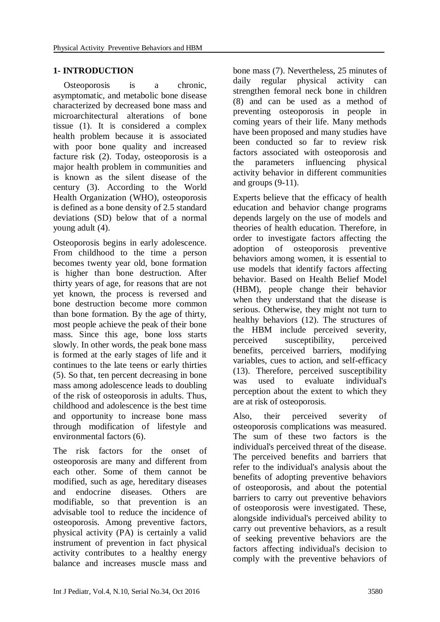# **1- INTRODUCTION**

Osteoporosis is a chronic, asymptomatic, and metabolic bone disease characterized by decreased bone mass and microarchitectural alterations of bone tissue (1). It is considered a complex health problem because it is associated with poor bone quality and increased facture risk (2). Today, osteoporosis is a major health problem in communities and is known as the silent disease of the century (3). According to the World Health Organization (WHO), osteoporosis is defined as a bone density of 2.5 standard deviations (SD) below that of a normal young adult (4).

Osteoporosis begins in early adolescence. From childhood to the time a person becomes twenty year old, bone formation is higher than bone destruction. After thirty years of age, for reasons that are not yet known, the process is reversed and bone destruction become more common than bone formation. By the age of thirty, most people achieve the peak of their bone mass. Since this age, bone loss starts slowly. In other words, the peak bone mass is formed at the early stages of life and it continues to the late teens or early thirties (5). So that, ten percent decreasing in bone mass among adolescence leads to doubling of the risk of osteoporosis in adults. Thus, childhood and adolescence is the best time and opportunity to increase bone mass through modification of lifestyle and environmental factors (6).

The risk factors for the onset of osteoporosis are many and different from each other. Some of them cannot be modified, such as age, hereditary diseases and endocrine diseases. Others are modifiable, so that prevention is an advisable tool to reduce the incidence of osteoporosis. Among preventive factors, physical activity (PA) is certainly a valid instrument of prevention in fact physical activity contributes to a healthy energy balance and increases muscle mass and bone mass (7). Nevertheless, 25 minutes of daily regular physical activity can strengthen femoral neck bone in children (8) and can be used as a method of preventing osteoporosis in people in coming years of their life. Many methods have been proposed and many studies have been conducted so far to review risk factors associated with osteoporosis and the parameters influencing physical activity behavior in different communities and groups (9-11).

Experts believe that the efficacy of health education and behavior change programs depends largely on the use of models and theories of health education. Therefore, in order to investigate factors affecting the adoption of osteoporosis preventive behaviors among women, it is essential to use models that identify factors affecting behavior. Based on Health Belief Model (HBM), people change their behavior when they understand that the disease is serious. Otherwise, they might not turn to healthy behaviors (12). The structures of the HBM include perceived severity, perceived susceptibility, perceived benefits, perceived barriers, modifying variables, cues to action, and self-efficacy (13). Therefore, perceived susceptibility was used to evaluate individual's perception about the extent to which they are at risk of osteoporosis.

Also, their perceived severity of osteoporosis complications was measured. The sum of these two factors is the individual's perceived threat of the disease. The perceived benefits and barriers that refer to the individual's analysis about the benefits of adopting preventive behaviors of osteoporosis, and about the potential barriers to carry out preventive behaviors of osteoporosis were investigated. These, alongside individual's perceived ability to carry out preventive behaviors, as a result of seeking preventive behaviors are the factors affecting individual's decision to comply with the preventive behaviors of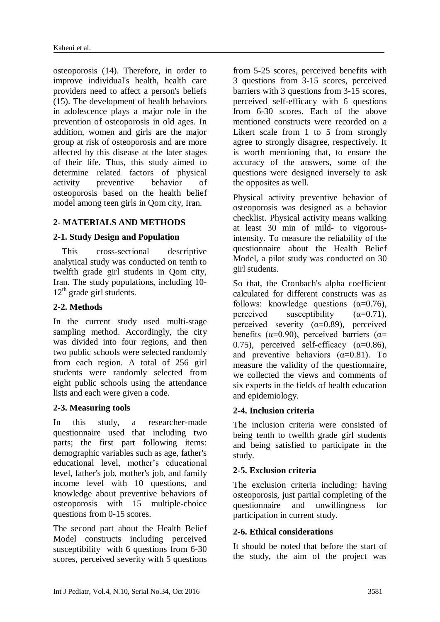osteoporosis (14). Therefore, in order to improve individual's health, health care providers need to affect a person's beliefs (15). The development of health behaviors in adolescence plays a major role in the prevention of osteoporosis in old ages. In addition, women and girls are the major group at risk of osteoporosis and are more affected by this disease at the later stages of their life. Thus, this study aimed to determine related factors of physical activity preventive behavior of osteoporosis based on the health belief model among teen girls in Qom city, Iran.

## **2- MATERIALS AND METHODS**

#### **2-1. Study Design and Population**

 This cross-sectional descriptive analytical study was conducted on tenth to twelfth grade girl students in Qom city, Iran. The study populations, including 10-  $12<sup>th</sup>$  grade girl students.

### **2-2. Methods**

In the current study used multi-stage sampling method. Accordingly, the city was divided into four regions, and then two public schools were selected randomly from each region. A total of 256 girl students were randomly selected from eight public schools using the attendance lists and each were given a code.

#### **2-3. Measuring tools**

In this study, a researcher-made questionnaire used that including two parts; the first part following items: demographic variables such as age, father's educational level, mother's educational level, father's job, mother's job, and family income level with 10 questions, and knowledge about preventive behaviors of osteoporosis with 15 multiple-choice questions from 0-15 scores.

The second part about the Health Belief Model constructs including perceived susceptibility with 6 questions from 6-30 scores, perceived severity with 5 questions

from 5-25 scores, perceived benefits with 3 questions from 3-15 scores, perceived barriers with 3 questions from 3-15 scores, perceived self-efficacy with 6 questions from 6-30 scores. Each of the above mentioned constructs were recorded on a Likert scale from 1 to 5 from strongly agree to strongly disagree, respectively. It is worth mentioning that, to ensure the accuracy of the answers, some of the questions were designed inversely to ask the opposites as well.

Physical activity preventive behavior of osteoporosis was designed as a behavior checklist. Physical activity means walking at least 30 min of mild- to vigorousintensity. To measure the reliability of the questionnaire about the Health Belief Model, a pilot study was conducted on 30 girl students.

So that, the Cronbach's alpha coefficient calculated for different constructs was as follows: knowledge questions  $(\alpha=0.76)$ , perceived susceptibility  $(\alpha=0.71)$ , perceived severity  $(\alpha=0.89)$ , perceived benefits ( $\alpha$ =0.90), perceived barriers ( $\alpha$ = 0.75), perceived self-efficacy  $(\alpha=0.86)$ , and preventive behaviors  $(\alpha=0.81)$ . To measure the validity of the questionnaire, we collected the views and comments of six experts in the fields of health education and epidemiology.

#### **2-4. Inclusion criteria**

The inclusion criteria were consisted of being tenth to twelfth grade girl students and being satisfied to participate in the study.

#### **2-5. Exclusion criteria**

The exclusion criteria including: having osteoporosis, just partial completing of the questionnaire and unwillingness for participation in current study.

#### **2-6. Ethical considerations**

It should be noted that before the start of the study, the aim of the project was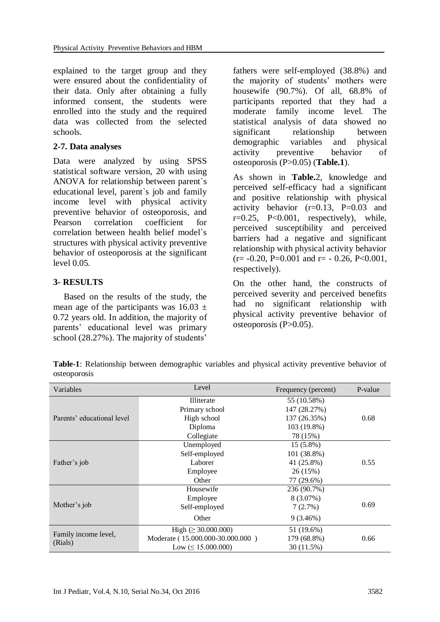explained to the target group and they were ensured about the confidentiality of their data. Only after obtaining a fully informed consent, the students were enrolled into the study and the required data was collected from the selected schools.

## **2-7. Data analyses**

Data were analyzed by using SPSS statistical software version, 20 with using ANOVA for relationship between parent`s educational level, parent`s job and family income level with physical activity preventive behavior of osteoporosis, and Pearson correlation coefficient for correlation between health belief model`s structures with physical activity preventive behavior of osteoporosis at the significant level 0.05.

## **3- RESULTS**

Based on the results of the study, the mean age of the participants was  $16.03 \pm$ 0.72 years old. In addition, the majority of parents' educational level was primary school (28.27%). The majority of students'

fathers were self-employed (38.8%) and the majority of students' mothers were housewife (90.7%). Of all, 68.8% of participants reported that they had a moderate family income level. The statistical analysis of data showed no significant relationship between demographic variables and physical activity preventive behavior of osteoporosis (P>0.05) (**Table.1**).

As shown in **Table.**2, knowledge and perceived self-efficacy had a significant and positive relationship with physical activity behavior  $(r=0.13, P=0.03$  and  $r=0.25$ ,  $P<0.001$ , respectively), while, perceived susceptibility and perceived barriers had a negative and significant relationship with physical activity behavior  $(r = -0.20, P = 0.001$  and  $r = -0.26, P < 0.001$ . respectively).

On the other hand, the constructs of perceived severity and perceived benefits had no significant relationship with physical activity preventive behavior of osteoporosis  $(P>0.05)$ .

**Table-1**: Relationship between demographic variables and physical activity preventive behavior of osteoporosis

| Variables                       | Level                            | Frequency (percent) | P-value |  |
|---------------------------------|----------------------------------|---------------------|---------|--|
|                                 | Illiterate                       | 55 (10.58%)         |         |  |
|                                 | Primary school                   | 147 (28.27%)        |         |  |
| Parents' educational level      | High school                      | 137 (26.35%)        | 0.68    |  |
|                                 | Diploma                          | 103 (19.8%)         |         |  |
|                                 | Collegiate                       | 78 (15%)            |         |  |
| Father's job                    | Unemployed                       | $15(5.8\%)$         | 0.55    |  |
|                                 | Self-employed                    | 101 (38.8%)         |         |  |
|                                 | Laborer                          | 41 (25.8%)          |         |  |
|                                 | Employee                         | 26(15%)             |         |  |
|                                 | Other                            | 77 (29.6%)          |         |  |
| Mother's job                    | Housewife                        | 236 (90.7%)         |         |  |
|                                 | Employee                         | $8(3.07\%)$         | 0.69    |  |
|                                 | Self-employed                    | 7(2.7%)             |         |  |
|                                 | Other                            | 9(3.46%)            |         |  |
| Family income level,<br>(Rials) | High $( \geq 30.000.000)$        | 51 (19.6%)          |         |  |
|                                 | Moderate (15.000.000-30.000.000) | 179 (68.8%)<br>0.66 |         |  |
|                                 | Low $(\leq 15.000.000)$          | 30 (11.5%)          |         |  |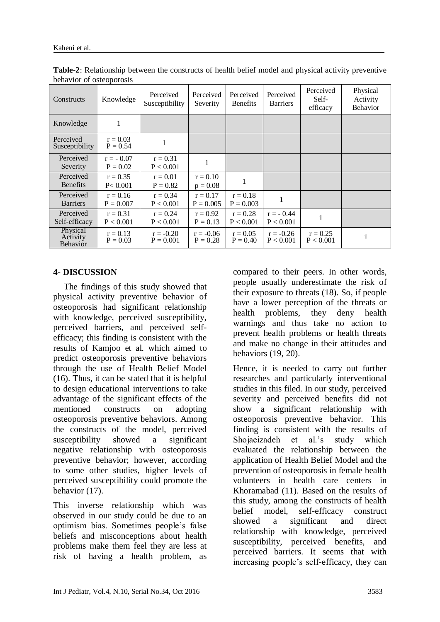| Constructs                       | Knowledge                 | Perceived<br>Susceptibility | Perceived<br>Severity     | Perceived<br><b>Benefits</b> | Perceived<br><b>Barriers</b> | Perceived<br>Self-<br>efficacy | Physical<br>Activity<br><b>Behavior</b> |
|----------------------------------|---------------------------|-----------------------------|---------------------------|------------------------------|------------------------------|--------------------------------|-----------------------------------------|
| Knowledge                        | 1                         |                             |                           |                              |                              |                                |                                         |
| Perceived<br>Susceptibility      | $r = 0.03$<br>$P = 0.54$  |                             |                           |                              |                              |                                |                                         |
| Perceived<br>Severity            | $r = -0.07$<br>$P = 0.02$ | $r = 0.31$<br>P < 0.001     | 1                         |                              |                              |                                |                                         |
| Perceived<br><b>Benefits</b>     | $r = 0.35$<br>P < 0.001   | $r = 0.01$<br>$P = 0.82$    | $r = 0.10$<br>$p = 0.08$  |                              |                              |                                |                                         |
| Perceived<br><b>Barriers</b>     | $r = 0.16$<br>$P = 0.007$ | $r = 0.34$<br>P < 0.001     | $r = 0.17$<br>$P = 0.005$ | $r = 0.18$<br>$P = 0.003$    |                              |                                |                                         |
| Perceived<br>Self-efficacy       | $r = 0.31$<br>P < 0.001   | $r = 0.24$<br>P < 0.001     | $r = 0.92$<br>$P = 0.13$  | $r = 0.28$<br>P < 0.001      | $r = -0.44$<br>P < 0.001     |                                |                                         |
| Physical<br>Activity<br>Behavior | $r = 0.13$<br>$P = 0.03$  | $r = -0.20$<br>$P = 0.001$  | $r = -0.06$<br>$P = 0.28$ | $r = 0.05$<br>$P = 0.40$     | $r = -0.26$<br>P < 0.001     | $r = 0.25$<br>P < 0.001        | 1                                       |

**Table-2**: Relationship between the constructs of health belief model and physical activity preventive behavior of osteoporosis

# **4- DISCUSSION**

The findings of this study showed that physical activity preventive behavior of osteoporosis had significant relationship with knowledge, perceived susceptibility, perceived barriers, and perceived selfefficacy; this finding is consistent with the results of Kamjoo et al. which aimed to predict osteoporosis preventive behaviors through the use of Health Belief Model (16). Thus, it can be stated that it is helpful to design educational interventions to take advantage of the significant effects of the mentioned constructs on adopting osteoporosis preventive behaviors. Among the constructs of the model, perceived susceptibility showed a significant negative relationship with osteoporosis preventive behavior; however, according to some other studies, higher levels of perceived susceptibility could promote the behavior (17).

This inverse relationship which was observed in our study could be due to an optimism bias. Sometimes people's false beliefs and misconceptions about health problems make them feel they are less at risk of having a health problem, as

compared to their peers. In other words, people usually underestimate the risk of their exposure to threats (18). So, if people have a lower perception of the threats or health problems, they deny health warnings and thus take no action to prevent health problems or health threats and make no change in their attitudes and behaviors (19, 20).

Hence, it is needed to carry out further researches and particularly interventional studies in this filed. In our study, perceived severity and perceived benefits did not show a significant relationship with osteoporosis preventive behavior. This finding is consistent with the results of Shojaeizadeh et al.'s study which evaluated the relationship between the application of Health Belief Model and the prevention of osteoporosis in female health volunteers in health care centers in Khoramabad (11). Based on the results of this study, among the constructs of health belief model, self-efficacy construct showed a significant and direct relationship with knowledge, perceived susceptibility, perceived benefits, and perceived barriers. It seems that with increasing people's self-efficacy, they can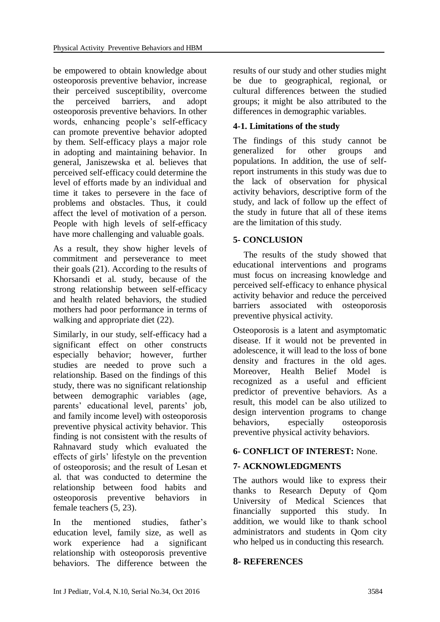be empowered to obtain knowledge about osteoporosis preventive behavior, increase their perceived susceptibility, overcome the perceived barriers, and adopt osteoporosis preventive behaviors. In other words, enhancing people's self-efficacy can promote preventive behavior adopted by them. Self-efficacy plays a major role in adopting and maintaining behavior. In general, Janiszewska et al. believes that perceived self-efficacy could determine the level of efforts made by an individual and time it takes to persevere in the face of problems and obstacles. Thus, it could affect the level of motivation of a person. People with high levels of self-efficacy have more challenging and valuable goals.

As a result, they show higher levels of commitment and perseverance to meet their goals (21). According to the results of Khorsandi et al. study, because of the strong relationship between self-efficacy and health related behaviors, the studied mothers had poor performance in terms of walking and appropriate diet (22).

Similarly, in our study, self-efficacy had a significant effect on other constructs especially behavior; however, further studies are needed to prove such a relationship. Based on the findings of this study, there was no significant relationship between demographic variables (age, parents' educational level, parents' job, and family income level) with osteoporosis preventive physical activity behavior. This finding is not consistent with the results of Rahnavard study which evaluated the effects of girls' lifestyle on the prevention of osteoporosis; and the result of Lesan et al. that was conducted to determine the relationship between food habits and osteoporosis preventive behaviors in female teachers (5, 23).

In the mentioned studies, father's education level, family size, as well as work experience had a significant relationship with osteoporosis preventive behaviors. The difference between the

results of our study and other studies might be due to geographical, regional, or cultural differences between the studied groups; it might be also attributed to the differences in demographic variables.

# **4-1. Limitations of the study**

The findings of this study cannot be generalized for other groups and populations. In addition, the use of selfreport instruments in this study was due to the lack of observation for physical activity behaviors, descriptive form of the study, and lack of follow up the effect of the study in future that all of these items are the limitation of this study.

## **5- CONCLUSION**

The results of the study showed that educational interventions and programs must focus on increasing knowledge and perceived self-efficacy to enhance physical activity behavior and reduce the perceived barriers associated with osteoporosis preventive physical activity.

Osteoporosis is a latent and asymptomatic disease. If it would not be prevented in adolescence, it will lead to the loss of bone density and fractures in the old ages. Moreover, Health Belief Model is recognized as a useful and efficient predictor of preventive behaviors. As a result, this model can be also utilized to design intervention programs to change behaviors, especially osteoporosis preventive physical activity behaviors.

# **6- CONFLICT OF INTEREST:** None.

# **7- ACKNOWLEDGMENTS**

The authors would like to express their thanks to Research Deputy of Qom University of Medical Sciences that financially supported this study. In addition, we would like to thank school administrators and students in Qom city who helped us in conducting this research.

## **8- REFERENCES**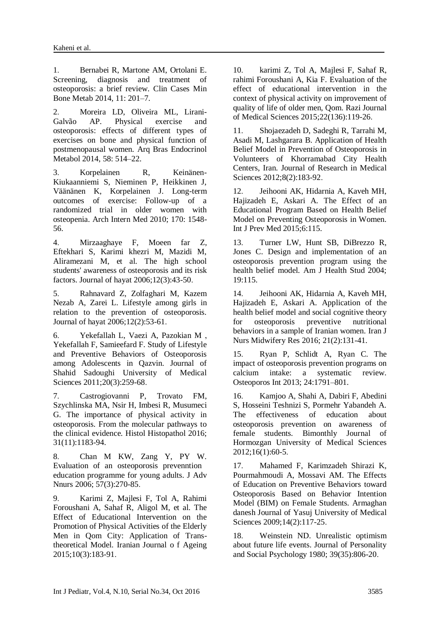1. Bernabei R, Martone AM, Ortolani E. Screening, diagnosis and treatment of osteoporosis: a brief review. Clin Cases Min Bone Metab 2014, 11: 201–7.

2. Moreira LD, Oliveira ML, Lirani-Galvão AP. Physical exercise and osteoporosis: effects of different types of exercises on bone and physical function of postmenopausal women. Arq Bras Endocrinol Metabol 2014, 58: 514–22.

3. Korpelainen R, Keinänen-Kiukaanniemi S, Nieminen P, Heikkinen J, Väänänen K, Korpelainen J. Long-term outcomes of exercise: Follow-up of a randomized trial in older women with osteopenia. Arch Intern Med 2010; 170: 1548- 56.

4. Mirzaaghaye F, Moeen far Z, Eftekhari S, Karimi khezri M, Mazidi M, Aliramezani M, et al. The high school students' awareness of osteoporosis and its risk factors. Journal of hayat 2006;12(3):43-50.

5. Rahnavard Z, Zolfaghari M, Kazem Nezab A, Zarei L. Lifestyle among girls in relation to the prevention of osteoporosis. Journal of hayat 2006;12(2):53-61.

6. Yekefallah L, Vaezi A, Pazokian M , Yekefallah F, Samieefard F. Study of Lifestyle and Preventive Behaviors of Osteoporosis among Adolescents in Qazvin. Journal of Shahid Sadoughi University of Medical Sciences 2011;20(3):259-68.

7. [Castrogiovanni P,](http://www.ncbi.nlm.nih.gov/pubmed/?term=Castrogiovanni%20P%5BAuthor%5D&cauthor=true&cauthor_uid=27311988) [Trovato FM,](http://www.ncbi.nlm.nih.gov/pubmed/?term=Trovato%20FM%5BAuthor%5D&cauthor=true&cauthor_uid=27311988) [Szychlinska MA,](http://www.ncbi.nlm.nih.gov/pubmed/?term=Szychlinska%20MA%5BAuthor%5D&cauthor=true&cauthor_uid=27311988) [Nsir H,](http://www.ncbi.nlm.nih.gov/pubmed/?term=Nsir%20H%5BAuthor%5D&cauthor=true&cauthor_uid=27311988) [Imbesi R,](http://www.ncbi.nlm.nih.gov/pubmed/?term=Imbesi%20R%5BAuthor%5D&cauthor=true&cauthor_uid=27311988) [Musumeci](http://www.ncbi.nlm.nih.gov/pubmed/?term=Musumeci%20G%5BAuthor%5D&cauthor=true&cauthor_uid=27311988)  [G.](http://www.ncbi.nlm.nih.gov/pubmed/?term=Musumeci%20G%5BAuthor%5D&cauthor=true&cauthor_uid=27311988) The importance of physical activity in osteoporosis. From the molecular pathways to the clinical evidence. [Histol Histopathol](http://www.ncbi.nlm.nih.gov/pubmed/?term=The+importance+of+physical+activity+in+osteoporosis.+From+the+molecular+pathways+to+the+clinical+evidence.) 2016; 31(11):1183-94.

8. Chan M KW, Zang Y, PY W. Evaluation of an osteoporosis prevenntion education programme for young adults. J Adv Nnurs 2006; 57(3):270-85.

9. Karimi Z, Majlesi F, Tol A, Rahimi Foroushani A, Sahaf R, Aligol M, et al. The Effect of Educational Intervention on the Promotion of Physical Activities of the Elderly Men in Qom City: Application of Transtheoretical Model. Iranian Journal o f Ageing 2015;10(3):183-91.

10. karimi Z, Tol A, Majlesi F, Sahaf R, rahimi Foroushani A, Kia F. Evaluation of the effect of educational intervention in the context of physical activity on improvement of quality of life of older men, Qom. Razi Journal of Medical Sciences 2015;22(136):119-26.

11. Shojaezadeh D, Sadeghi R, Tarrahi M, Asadi M, Lashgarara B. Application of Health Belief Model in Prevention of Osteoporosis in Volunteers of Khorramabad City Health Centers, Iran. Journal of Research in Medical Sciences 2012;8(2):183-92.

12. Jeihooni AK, Hidarnia A, Kaveh MH, Hajizadeh E, Askari A. [The Effect of an](http://www.ncbi.nlm.nih.gov/pubmed/26730345)  [Educational Program Based on Health Belief](http://www.ncbi.nlm.nih.gov/pubmed/26730345)  [Model on Preventing Osteoporosis in Women.](http://www.ncbi.nlm.nih.gov/pubmed/26730345) Int J Prev Med 2015;6:115.

13. Turner LW, Hunt SB, DiBrezzo R, Jones C. Design and implementation of an osteoporosis prevention program using the health belief model. Am J Health Stud 2004; 19:115.

14. [Jeihooni AK,](http://www.ncbi.nlm.nih.gov/pubmed/?term=Jeihooni%20AK%5BAuthor%5D&cauthor=true&cauthor_uid=27095985) [Hidarnia A,](http://www.ncbi.nlm.nih.gov/pubmed/?term=Hidarnia%20A%5BAuthor%5D&cauthor=true&cauthor_uid=27095985) [Kaveh MH,](http://www.ncbi.nlm.nih.gov/pubmed/?term=Kaveh%20MH%5BAuthor%5D&cauthor=true&cauthor_uid=27095985) [Hajizadeh E,](http://www.ncbi.nlm.nih.gov/pubmed/?term=Hajizadeh%20E%5BAuthor%5D&cauthor=true&cauthor_uid=27095985) [Askari A.](http://www.ncbi.nlm.nih.gov/pubmed/?term=Askari%20A%5BAuthor%5D&cauthor=true&cauthor_uid=27095985) Application of the health belief model and social cognitive theory for osteoporosis preventive nutritional behaviors in a sample of Iranian women. [Iran J](http://www.ncbi.nlm.nih.gov/pubmed/27095985)  [Nurs Midwifery Res](http://www.ncbi.nlm.nih.gov/pubmed/27095985) 2016; 21(2):131-41.

15. Ryan P, Schlidt A, Ryan C. The impact of osteoporosis prevention programs on calcium intake: a systematic review. Osteoporos Int 2013; 24:1791–801.

16. Kamjoo A, Shahi A, Dabiri F, Abedini S, Hosseini Teshnizi S, Pormehr Yabandeh A. The effectiveness of education about osteoporosis prevention on awareness of female students. Bimonthly Journal of Hormozgan University of Medical Sciences 2012;16(1):60-5.

17. Mahamed F, Karimzadeh Shirazi K, Pourmahmoudi A, Mossavi AM. The Effects of Education on Preventive Behaviors toward Osteoporosis Based on Behavior Intention Model (BIM) on Female Students. Armaghan danesh Journal of Yasuj University of Medical Sciences 2009;14(2):117-25.

18. Weinstein ND. Unrealistic optimism about future life events. Journal of Personality and Social Psychology 1980; 39(35):806-20.